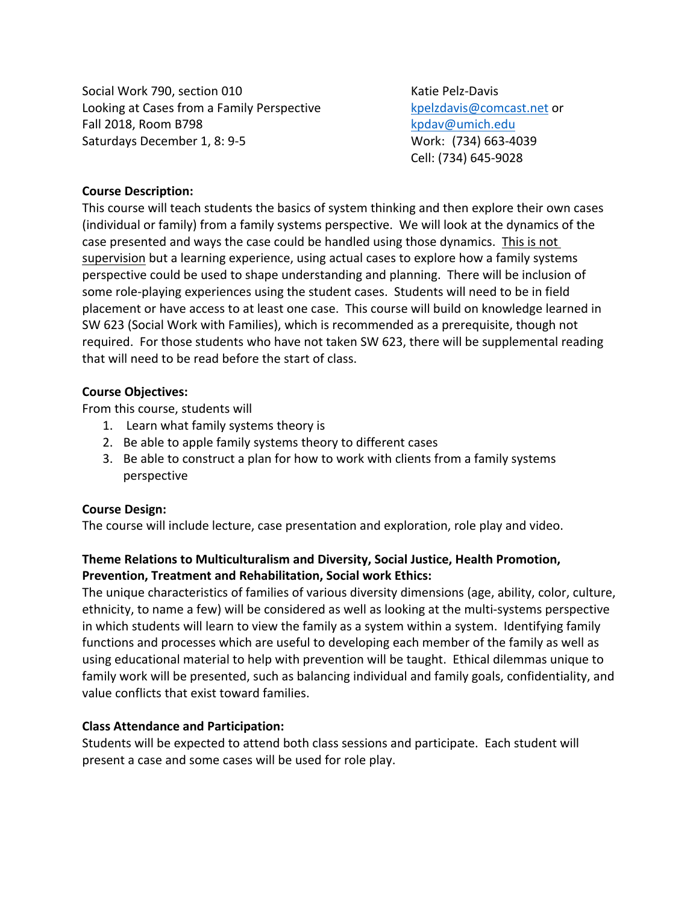Social Work 790, section 010 Katie Pelz-Davis Looking at Cases from a Family Perspective kpelzdavis@comcast.net or Fall 2018, Room B798 kpdav@umich.edu Saturdays December 1, 8: 9-5 Work: (734) 663-4039

Cell: (734) 645-9028

## **Course Description:**

This course will teach students the basics of system thinking and then explore their own cases (individual or family) from a family systems perspective. We will look at the dynamics of the case presented and ways the case could be handled using those dynamics. This is not supervision but a learning experience, using actual cases to explore how a family systems perspective could be used to shape understanding and planning. There will be inclusion of some role-playing experiences using the student cases. Students will need to be in field placement or have access to at least one case. This course will build on knowledge learned in SW 623 (Social Work with Families), which is recommended as a prerequisite, though not required. For those students who have not taken SW 623, there will be supplemental reading that will need to be read before the start of class.

#### **Course Objectives:**

From this course, students will

- 1. Learn what family systems theory is
- 2. Be able to apple family systems theory to different cases
- 3. Be able to construct a plan for how to work with clients from a family systems perspective

#### **Course Design:**

The course will include lecture, case presentation and exploration, role play and video.

# **Theme Relations to Multiculturalism and Diversity, Social Justice, Health Promotion, Prevention, Treatment and Rehabilitation, Social work Ethics:**

The unique characteristics of families of various diversity dimensions (age, ability, color, culture, ethnicity, to name a few) will be considered as well as looking at the multi-systems perspective in which students will learn to view the family as a system within a system. Identifying family functions and processes which are useful to developing each member of the family as well as using educational material to help with prevention will be taught. Ethical dilemmas unique to family work will be presented, such as balancing individual and family goals, confidentiality, and value conflicts that exist toward families.

## **Class Attendance and Participation:**

Students will be expected to attend both class sessions and participate. Each student will present a case and some cases will be used for role play.